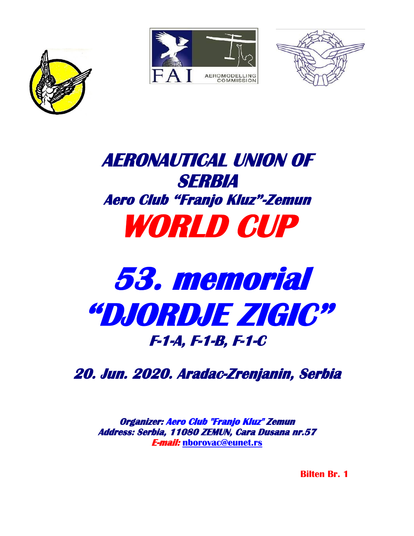





## **AERONAUTICAL UNION OF SERBIA Aero Club "Franjo Kluz"-Zemun WORLD CUP**

# **53. memorial "DJORDJE ZIGIC" F-1-A, F-1-B, F-1-C**

**20. Jun. 2020. Aradac-Zrenjanin, Serbia** 

**Organizer: Aero Club "Franjo Kluz" Zemun Address: Serbia, 11080 ZEMUN, Cara Dusana nr.57 E-mail: [nborovac@eunet.rs](mailto:nborovac@eunet.rs)**

 **Bilten Br. 1**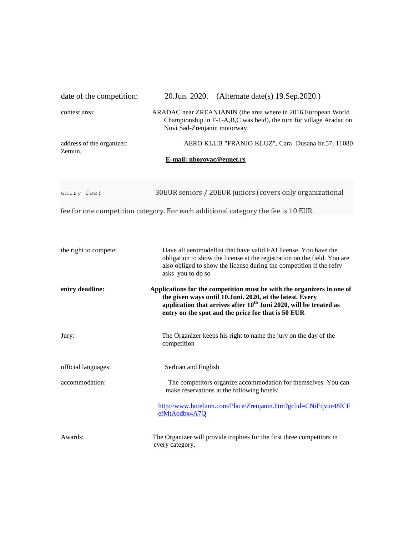| date of the competition:            | 20. Jun. 2020. (Alternate date(s) 19. Sep. 2020.)                                                                                                                                                                                                                         |  |  |  |  |
|-------------------------------------|---------------------------------------------------------------------------------------------------------------------------------------------------------------------------------------------------------------------------------------------------------------------------|--|--|--|--|
| contest area:                       | ARADAC near ZREANJANIN (the area where in 2016.European World<br>Championship in F-1-A,B,C was held), the turn for village Aradac on<br>Novi Sad-Zrenjanin motorway                                                                                                       |  |  |  |  |
| address of the organizer:<br>Zemun, | AERO KLUB "FRANJO KLUZ", Cara Dusana br.57, 11080                                                                                                                                                                                                                         |  |  |  |  |
|                                     | E-mail: nborovac@eunet.rs                                                                                                                                                                                                                                                 |  |  |  |  |
| entry fee:                          | 30EUR seniors / 20EUR juniors (covers only organizational                                                                                                                                                                                                                 |  |  |  |  |
|                                     | fee for one competition category. For each additional category the fee is 10 EUR.                                                                                                                                                                                         |  |  |  |  |
| the right to compete:               | Have all aeromodellist that have valid FAI license. You have the<br>obligation to show the license at the registration on the field. You are<br>also obliged to show the license during the competition if the refry                                                      |  |  |  |  |
|                                     | asks you to do so                                                                                                                                                                                                                                                         |  |  |  |  |
| entry deadline:                     | Applications for the competition must be with the organizers in one of<br>the given ways until 10.Juni. 2020, at the latest. Every<br>application that arrives after 10 <sup>th</sup> Juni 2020, will be treated as<br>entry on the spot and the price for that is 50 EUR |  |  |  |  |
| Jury:                               | The Organizer keeps his right to name the jury on the day of the<br>competition                                                                                                                                                                                           |  |  |  |  |
| official languages:                 | Serbian and English                                                                                                                                                                                                                                                       |  |  |  |  |
| accommodation:                      | The competitors organize accommodation for themselves. You can<br>make reservations at the following hotels:                                                                                                                                                              |  |  |  |  |
|                                     | http://www.hotelium.com/Place/Zrenjanin.htm?gclid=CNiEqvur48ICF<br>efMtAodbx4A7Q                                                                                                                                                                                          |  |  |  |  |
| Awards:                             | The Organizer will provide trophies for the first three competitors in<br>every category.                                                                                                                                                                                 |  |  |  |  |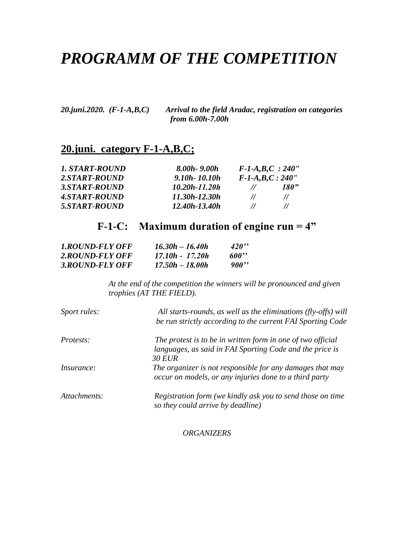### *PROGRAMM OF THE COMPETITION*

*20.juni.2020. (F-1-A,B,C) Arrival to the field Aradac, registration on categories from 6.00h-7.00h* 

#### **20.juni. category F-1-A,B,C;**

| 1. START-ROUND | $8.00h - 9.00h$   |                   | $F-I-A,B,C$ : 240'' |
|----------------|-------------------|-------------------|---------------------|
| 2.START-ROUND  | $9.10h - 10.10h$  | $F-I-A,B,C:240''$ |                     |
| 3.START-ROUND  | $10.20h - 11.20h$ | $\prime\prime$    | 180"                |
| 4.START-ROUND  | 11.30h-12.30h     | $^{\prime\prime}$ | $^{\prime\prime}$   |
| 5.START-ROUND  | $12.40h - 13.40h$ | $\prime\prime$    | $^{\prime\prime}$   |

#### **F-1-C: Maximum duration of engine run = 4"**

| <b>1.ROUND-FLY OFF</b> | $16.30h - 16.40h$ | 420   |
|------------------------|-------------------|-------|
| 2.ROUND-FLY OFF        | 17.10h - 17.20h   | 600'' |
| 3.ROUND-FLY OFF        | $17.50h - 18.00h$ | 900"  |

*At the end of the competition the winners will be pronounced and given trophies (AT THE FIELD).*

| Sport rules:      | All starts-rounds, as well as the eliminations (fly-offs) will<br>be run strictly according to the current FAI Sporting Code             |
|-------------------|------------------------------------------------------------------------------------------------------------------------------------------|
| <i>Protests:</i>  | The protest is to be in written form in one of two official<br>languages, as said in FAI Sporting Code and the price is<br><b>30 EUR</b> |
| <i>Insurance:</i> | The organizer is not responsible for any damages that may<br>occur on models, or any injuries done to a third party                      |
| Attachments:      | Registration form (we kindly ask you to send those on time<br>so they could arrive by deadline)                                          |

*ORGANIZERS*